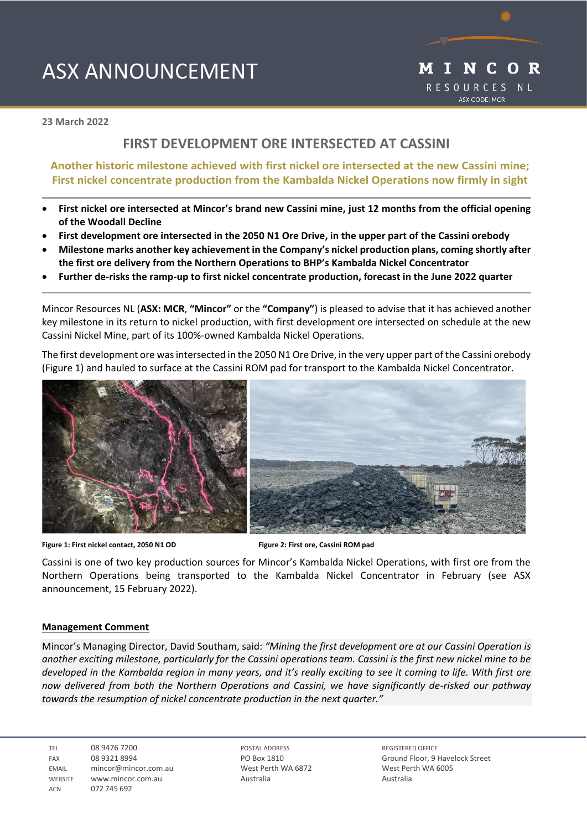# ASX ANNOUNCEMENT



**23 March 2022** 

## **FIRST DEVELOPMENT ORE INTERSECTED AT CASSINI**

## **Another historic milestone achieved with first nickel ore intersected at the new Cassini mine; First nickel concentrate production from the Kambalda Nickel Operations now firmly in sight**

- **First nickel ore intersected at Mincor's brand new Cassini mine, just 12 months from the official opening of the Woodall Decline**
- **First development ore intersected in the 2050 N1 Ore Drive, in the upper part of the Cassini orebody**
- **Milestone marks another key achievement in the Company's nickel production plans, coming shortly after the first ore delivery from the Northern Operations to BHP's Kambalda Nickel Concentrator**
- **Further de-risks the ramp-up to first nickel concentrate production, forecast in the June 2022 quarter**

Mincor Resources NL (**ASX: MCR**, **"Mincor"** or the **"Company"**) is pleased to advise that it has achieved another key milestone in its return to nickel production, with first development ore intersected on schedule at the new Cassini Nickel Mine, part of its 100%-owned Kambalda Nickel Operations.

The first development ore wasintersected in the 2050 N1 Ore Drive, in the very upper part of the Cassini orebody (Figure 1) and hauled to surface at the Cassini ROM pad for transport to the Kambalda Nickel Concentrator.





**Figure 1: First nickel contact, 2050 N1 OD****Figure 2: First ore, Cassini ROM pad**

Cassini is one of two key production sources for Mincor's Kambalda Nickel Operations, with first ore from the Northern Operations being transported to the Kambalda Nickel Concentrator in February (see ASX announcement, 15 February 2022).

#### **Management Comment**

Mincor's Managing Director, David Southam, said: *"Mining the first development ore at our Cassini Operation is another exciting milestone, particularly for the Cassini operations team. Cassini is the first new nickel mine to be developed in the Kambalda region in many years, and it's really exciting to see it coming to life. With first ore now delivered from both the Northern Operations and Cassini, we have significantly de-risked our pathway towards the resumption of nickel concentrate production in the next quarter."*

TEL 08 9476 7200 FAX 08 9321 8994 EMAIL mincor@mincor.com.au WEBSITE WWW.mincor.com.au ACN 072 745 692

POSTAL ADDRESS PO Box 1810 West Perth WA 6872 Australia

REGISTERED OFFICE Ground Floor, 9 Havelock Street West Perth WA 6005 Australia